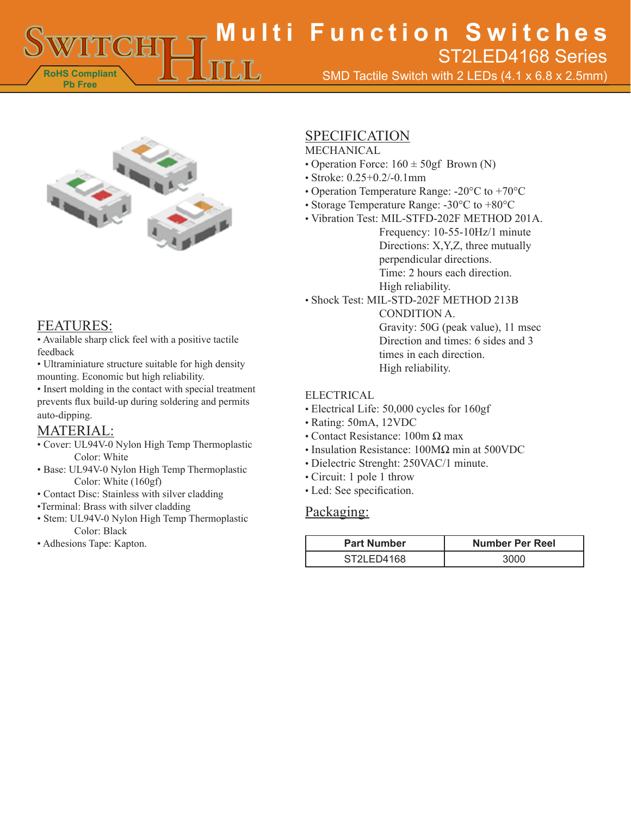**RoHS Compliant Pb Free Multi Function Switches** SMD Tactile Switch with 2 LEDs (4.1 x 6.8 x 2.5mm) ST2LED4168 Series



# FEATURES:

• Available sharp click feel with a positive tactile feedback

• Ultraminiature structure suitable for high density mounting. Economic but high reliability.

• Insert molding in the contact with special treatment prevents flux build-up during soldering and permits auto-dipping.

# MATERIAL:

- Cover: UL94V-0 Nylon High Temp Thermoplastic Color: White
- Base: UL94V-0 Nylon High Temp Thermoplastic Color: White (160gf)
- Contact Disc: Stainless with silver cladding
- •Terminal: Brass with silver cladding
- Stem: UL94V-0 Nylon High Temp Thermoplastic Color: Black
- Adhesions Tape: Kapton.

# SPECIFICATION

### MECHANICAL

- Operation Force:  $160 \pm 50$ gf Brown (N)
- Stroke: 0.25+0.2/-0.1mm
- Operation Temperature Range: -20°C to +70°C
- Storage Temperature Range: -30°C to +80°C
- Vibration Test: MIL-STFD-202F METHOD 201A. Frequency: 10-55-10Hz/1 minute Directions: X,Y,Z, three mutually

perpendicular directions.

Time: 2 hours each direction.

High reliability.

• Shock Test: MIL-STD-202F METHOD 213B CONDITION A. Gravity: 50G (peak value), 11 msec Direction and times: 6 sides and 3 times in each direction. High reliability.

#### ELECTRICAL

- Electrical Life: 50,000 cycles for 160gf
- Rating: 50mA, 12VDC
- Contact Resistance: 100m Ω max
- Insulation Resistance: 100MΩ min at 500VDC
- Dielectric Strenght: 250VAC/1 minute.
- Circuit: 1 pole 1 throw
- Led: See specification.

## Packaging:

| <b>Part Number</b> | <b>Number Per Reel</b> |
|--------------------|------------------------|
| ST2LED4168         | 3000                   |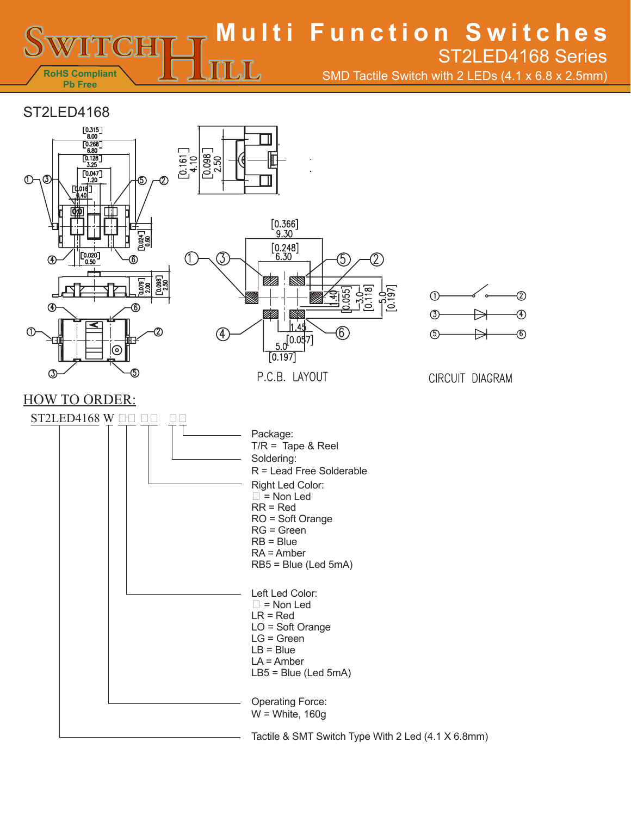**Multi Function Switches** ST2LED4168 Series

SMD Tactile Switch with 2 LEDs (4.1 x 6.8 x 2.5mm)



**RoHS Compliant Pb Free**



 $\overline{\text{L}}\overline{\text{L}}$